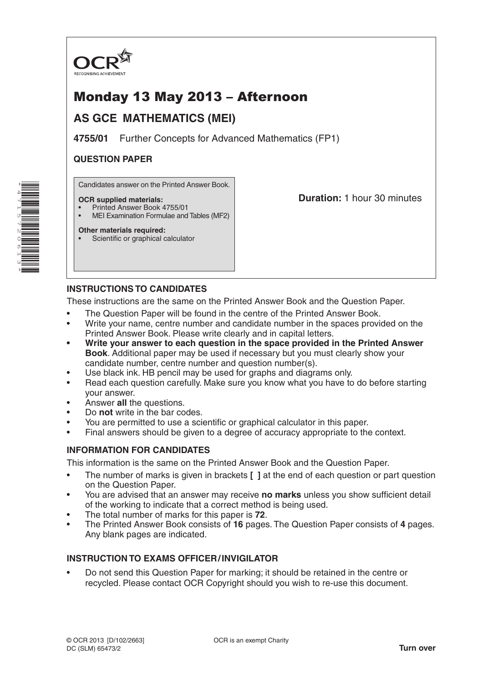

# Monday 13 May 2013 – Afternoon

## **AS GCE MATHEMATICS (MEI)**

**4755/01** Further Concepts for Advanced Mathematics (FP1)

## **QUESTION PAPER**

Candidates answer on the Printed Answer Book.

#### **OCR supplied materials:**

- Printed Answer Book 4755/01
- MEI Examination Formulae and Tables (MF2)

## **Duration:** 1 hour 30 minutes

## **Other materials required:**

Scientific or graphical calculator

## **INSTRUCTIONS TO CANDIDATES**

These instructions are the same on the Printed Answer Book and the Question Paper.

- The Question Paper will be found in the centre of the Printed Answer Book.
- Write your name, centre number and candidate number in the spaces provided on the Printed Answer Book. Please write clearly and in capital letters.
- **• Write your answer to each question in the space provided in the Printed Answer Book**. Additional paper may be used if necessary but you must clearly show your candidate number, centre number and question number(s).
- Use black ink. HB pencil may be used for graphs and diagrams only.
- Read each question carefully. Make sure you know what you have to do before starting your answer.
- Answer **all** the questions.
- Do **not** write in the bar codes.
- You are permitted to use a scientific or graphical calculator in this paper.
- Final answers should be given to a degree of accuracy appropriate to the context.

### **INFORMATION FOR CANDIDATES**

This information is the same on the Printed Answer Book and the Question Paper.

- The number of marks is given in brackets **[ ]** at the end of each question or part question on the Question Paper.
- You are advised that an answer may receive **no marks** unless you show sufficient detail of the working to indicate that a correct method is being used.
- The total number of marks for this paper is **72**.
- The Printed Answer Book consists of **16** pages. The Question Paper consists of **4** pages. Any blank pages are indicated.

### **INSTRUCTION TO EXAMS OFFICER/INVIGILATOR**

• Do not send this Question Paper for marking; it should be retained in the centre or recycled. Please contact OCR Copyright should you wish to re-use this document.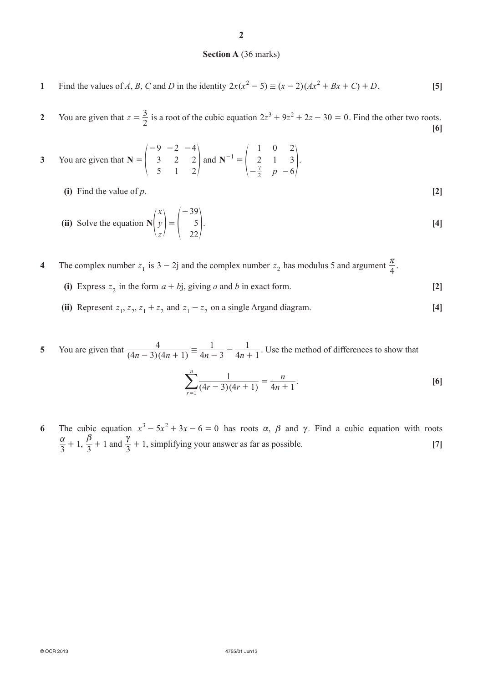#### **Section A** (36 marks)

**1** Find the values of *A*, *B*, *C* and *D* in the identity  $2x(x^2 - 5) \equiv (x - 2)(Ax^2 + Bx + C) + D$ . [5]

**2** You are given that  $z = \frac{3}{2}$  is a root of the cubic equation  $2z^3 + 9z^2 + 2z - 30 = 0$ . Find the other two roots. **[6]**

- **3** You are given that **N** 9 3 5 2 2 1 4 2 2 =  $-9$   $-2$   $\begin{vmatrix} 3 & 2 & 2 \end{vmatrix}$  and *p* **N** 1 2 0 1 2 3 6 1 2 7 =  $-\frac{7}{2}$  p –  $^{-1} = \begin{pmatrix} 2 & 1 & 3 \end{pmatrix}$ .
	- **(i)** Find the value of *p*. **[2]**

(ii) Solve the equation 
$$
\mathbf{N} \begin{pmatrix} x \\ y \\ z \end{pmatrix} = \begin{pmatrix} -39 \\ 5 \\ 22 \end{pmatrix}
$$
. [4]

**4** The complex number  $z_1$  is  $3 - 2j$  and the complex number  $z_2$  has modulus 5 and argument  $\frac{\pi}{4}$ .

- (i) Express  $z_2$  in the form  $a + bj$ , giving *a* and *b* in exact form. **[2]**
- (ii) Represent  $z_1$ ,  $z_2$ ,  $z_1 + z_2$  and  $z_1 z_2$  on a single Argand diagram. [4]

**5** You are given that  $\frac{4}{(4n-3)(4n+1)} \equiv \frac{1}{4n-3} - \frac{1}{4n}$  $4n - 3$ 1  $4n + 1$  $\frac{4}{(n-3)(4n+1)} \equiv \frac{1}{4n-3} - \frac{1}{4n+1}$ . Use the method of differences to show that

$$
\sum_{r=1}^{n} \frac{1}{(4r-3)(4r+1)} = \frac{n}{4n+1}.
$$
 [6]

**6** The cubic equation  $x^3 - 5x^2 + 3x - 6 = 0$  has roots  $\alpha$ ,  $\beta$  and  $\gamma$ . Find a cubic equation with roots  $\frac{\alpha}{3} + 1$ ,  $\frac{\beta}{3} + 1$  and  $\frac{\gamma}{3} + 1$ , simplifying your answer as far as possible. **[7]**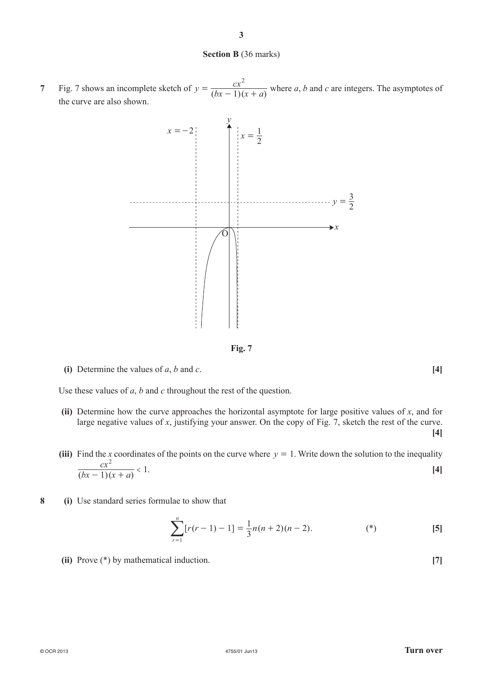#### **Section B** (36 marks)

**3**

**7** Fig. 7 shows an incomplete sketch of  $y = \frac{cx^2}{(bx-1)(x+a)}$ 1  $=\frac{cx^2}{(bx-1)(x+a)}$  where *a*, *b* and *c* are integers. The asymptotes of the curve are also shown.



**Fig. 7**

**(i)** Determine the values of *a*, *b* and *c*. **[4]**

Use these values of *a*, *b* and *c* throughout the rest of the question.

- **(ii)** Determine how the curve approaches the horizontal asymptote for large positive values of *x*, and for large negative values of *x*, justifying your answer. On the copy of Fig. 7, sketch the rest of the curve. **[4]**
- (iii) Find the *x* coordinates of the points on the curve where  $y = 1$ . Write down the solution to the inequality  $(bx-1)(x + a)$  $\frac{cx^2}{(x-1)(x+a)} < 1$  $\frac{c\lambda}{-1(x+a)} < 1.$  [4]
- **8 (i)** Use standard series formulae to show that

$$
\sum_{r=1}^{n} [r(r-1) - 1] = \frac{1}{3}n(n+2)(n-2).
$$
 (\*) (5)

**(ii)** Prove (\*) by mathematical induction. **[7]**

#### © OCR 2013 4755/01 Jun13 **Turn over**